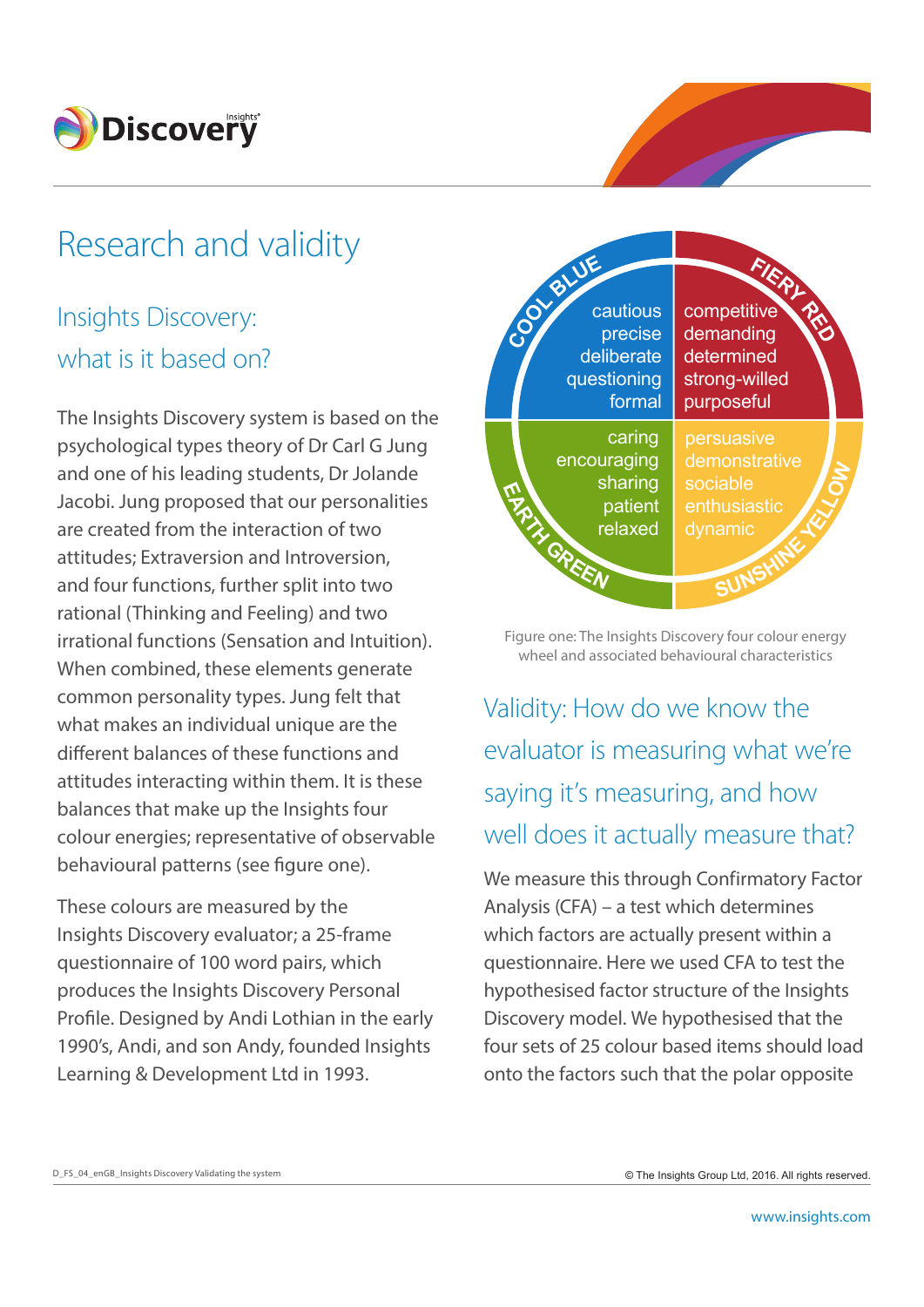

# Research and validity

## Insights Discovery: what is it based on?

The Insights Discovery system is based on the psychological types theory of Dr Carl G Jung and one of his leading students, Dr Jolande Jacobi. Jung proposed that our personalities are created from the interaction of two attitudes; Extraversion and Introversion, and four functions, further split into two rational (Thinking and Feeling) and two irrational functions (Sensation and Intuition). When combined, these elements generate common personality types. Jung felt that what makes an individual unique are the different balances of these functions and attitudes interacting within them. It is these balances that make up the Insights four colour energies; representative of observable behavioural patterns (see figure one).

These colours are measured by the Insights Discovery evaluator; a 25-frame questionnaire of 100 word pairs, which produces the Insights Discovery Personal Profile. Designed by Andi Lothian in the early 1990's, Andi, and son Andy, founded Insights Learning & Development Ltd in 1993.



Figure one: The Insights Discovery four colour energy wheel and associated behavioural characteristics

Validity: How do we know the evaluator is measuring what we're saying it's measuring, and how well does it actually measure that?

We measure this through Confirmatory Factor Analysis (CFA) – a test which determines which factors are actually present within a questionnaire. Here we used CFA to test the hypothesised factor structure of the Insights Discovery model. We hypothesised that the four sets of 25 colour based items should load onto the factors such that the polar opposite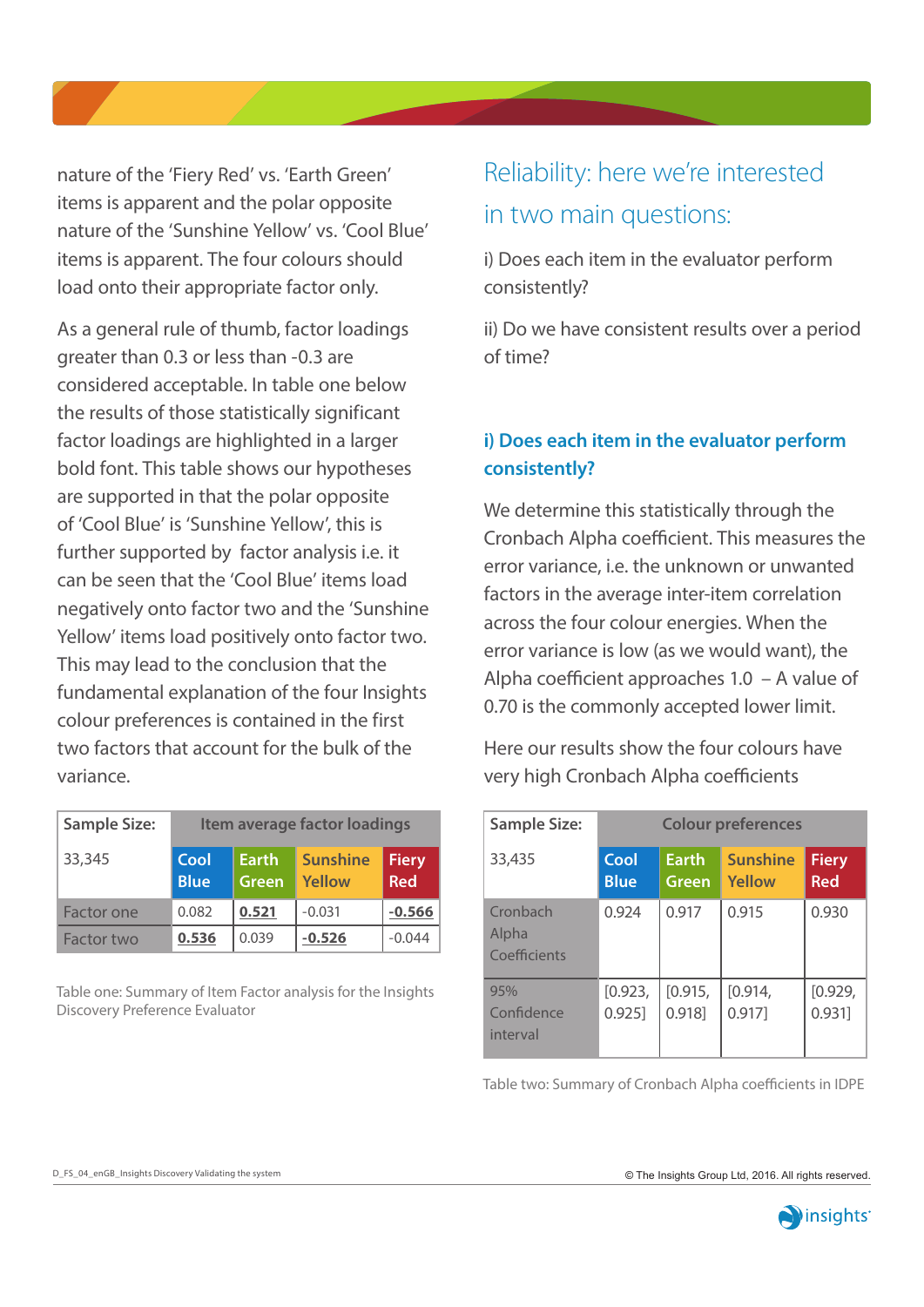nature of the 'Fiery Red' vs. 'Earth Green' items is apparent and the polar opposite nature of the 'Sunshine Yellow' vs. 'Cool Blue' items is apparent. The four colours should load onto their appropriate factor only.

As a general rule of thumb, factor loadings greater than 0.3 or less than -0.3 are considered acceptable. In table one below the results of those statistically significant factor loadings are highlighted in a larger bold font. This table shows our hypotheses are supported in that the polar opposite of 'Cool Blue' is 'Sunshine Yellow', this is further supported by factor analysis i.e. it can be seen that the 'Cool Blue' items load negatively onto factor two and the 'Sunshine Yellow' items load positively onto factor two. This may lead to the conclusion that the fundamental explanation of the four Insights colour preferences is contained in the first two factors that account for the bulk of the variance.

| <b>Sample Size:</b> | Item average factor loadings |                              |                                  |                     |  |
|---------------------|------------------------------|------------------------------|----------------------------------|---------------------|--|
| 33,345              | Cool<br><b>Blue</b>          | <b>Earth</b><br><b>Green</b> | <b>Sunshine</b><br><b>Yellow</b> | <b>Fiery</b><br>Red |  |
| <b>Factor one</b>   | 0.082                        | 0.521                        | $-0.031$                         | $-0.566$            |  |
| Factor two          | 0.536                        | 0.039                        | $-0.526$                         | $-0.044$            |  |

Table one: Summary of Item Factor analysis for the Insights Discovery Preference Evaluator

## Reliability: here we're interested in two main questions:

i) Does each item in the evaluator perform consistently?

ii) Do we have consistent results over a period of time?

#### **i) Does each item in the evaluator perform consistently?**

We determine this statistically through the Cronbach Alpha coefficient. This measures the error variance, i.e. the unknown or unwanted factors in the average inter-item correlation across the four colour energies. When the error variance is low (as we would want), the Alpha coefficient approaches 1.0 – A value of 0.70 is the commonly accepted lower limit.

Here our results show the four colours have very high Cronbach Alpha coefficients

| <b>Sample Size:</b>               | <b>Colour preferences</b> |                       |                           |                            |  |
|-----------------------------------|---------------------------|-----------------------|---------------------------|----------------------------|--|
| 33,435                            | Cool<br><b>Blue</b>       | <b>Earth</b><br>Green | <b>Sunshine</b><br>Yellow | <b>Fiery</b><br><b>Red</b> |  |
| Cronbach<br>Alpha<br>Coefficients | 0.924                     | 0.917                 | 0.915                     | 0.930                      |  |
| 95%<br>Confidence<br>interval     | [0.923,<br>0.925]         | [0.915,<br>0.918      | [0.914,<br>0.917]         | [0.929,<br>0.931]          |  |

Table two: Summary of Cronbach Alpha coefficients in IDPE